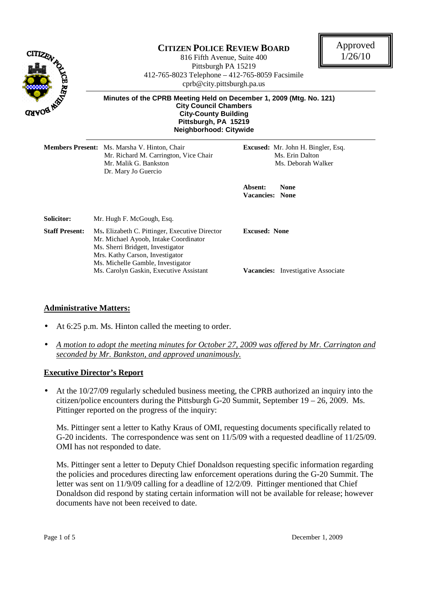

# **CITIZEN POLICE REVIEW BOARD**

816 Fifth Avenue, Suite 400 Pittsburgh PA 15219 412-765-8023 Telephone – 412-765-8059 Facsimile cprb@city.pittsburgh.pa.us



 **Minutes of the CPRB Meeting Held on December 1, 2009 (Mtg. No. 121) City Council Chambers City-County Building Pittsburgh, PA 15219 Neighborhood: Citywide** 

|                                                                                                                                                                                                                               | Members Present: Ms. Marsha V. Hinton, Chair<br>Mr. Richard M. Carrington, Vice Chair<br>Mr. Malik G. Bankston<br>Dr. Mary Jo Guercio | <b>Excused:</b> Mr. John H. Bingler, Esq.<br>Ms. Erin Dalton<br>Ms. Deborah Walker |  |
|-------------------------------------------------------------------------------------------------------------------------------------------------------------------------------------------------------------------------------|---------------------------------------------------------------------------------------------------------------------------------------|------------------------------------------------------------------------------------|--|
|                                                                                                                                                                                                                               |                                                                                                                                       | Absent:<br><b>None</b><br>Vacancies: None                                          |  |
| <b>Solicitor:</b>                                                                                                                                                                                                             | Mr. Hugh F. McGough, Esq.                                                                                                             |                                                                                    |  |
| <b>Staff Present:</b><br>Ms. Elizabeth C. Pittinger, Executive Director<br>Mr. Michael Ayoob, Intake Coordinator<br>Ms. Sherri Bridgett, Investigator<br>Mrs. Kathy Carson, Investigator<br>Ms. Michelle Gamble, Investigator |                                                                                                                                       | <b>Excused: None</b>                                                               |  |
|                                                                                                                                                                                                                               | Ms. Carolyn Gaskin, Executive Assistant                                                                                               | <b>Vacancies:</b> Investigative Associate                                          |  |

#### **Administrative Matters:**

- At 6:25 p.m. Ms. Hinton called the meeting to order.
- *A motion to adopt the meeting minutes for October 27, 2009 was offered by Mr. Carrington and seconded by Mr. Bankston, and approved unanimously.*

#### **Executive Director's Report**

• At the 10/27/09 regularly scheduled business meeting, the CPRB authorized an inquiry into the citizen/police encounters during the Pittsburgh G-20 Summit, September  $19 - 26$ , 2009. Ms. Pittinger reported on the progress of the inquiry:

Ms. Pittinger sent a letter to Kathy Kraus of OMI, requesting documents specifically related to G-20 incidents. The correspondence was sent on 11/5/09 with a requested deadline of 11/25/09. OMI has not responded to date.

Ms. Pittinger sent a letter to Deputy Chief Donaldson requesting specific information regarding the policies and procedures directing law enforcement operations during the G-20 Summit. The letter was sent on 11/9/09 calling for a deadline of 12/2/09. Pittinger mentioned that Chief Donaldson did respond by stating certain information will not be available for release; however documents have not been received to date.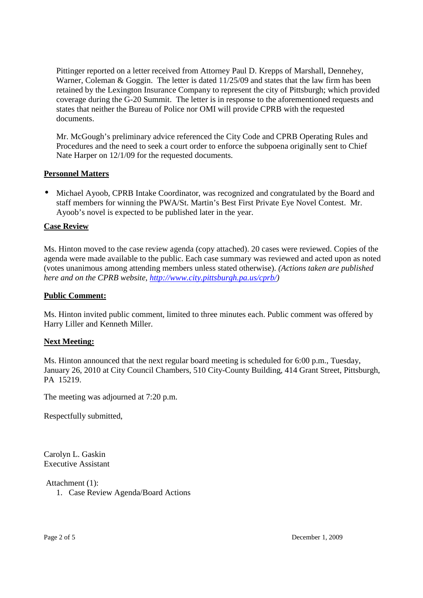Pittinger reported on a letter received from Attorney Paul D. Krepps of Marshall, Dennehey, Warner, Coleman & Goggin. The letter is dated 11/25/09 and states that the law firm has been retained by the Lexington Insurance Company to represent the city of Pittsburgh; which provided coverage during the G-20 Summit. The letter is in response to the aforementioned requests and states that neither the Bureau of Police nor OMI will provide CPRB with the requested documents.

Mr. McGough's preliminary advice referenced the City Code and CPRB Operating Rules and Procedures and the need to seek a court order to enforce the subpoena originally sent to Chief Nate Harper on 12/1/09 for the requested documents.

## **Personnel Matters**

• Michael Ayoob, CPRB Intake Coordinator, was recognized and congratulated by the Board and staff members for winning the PWA/St. Martin's Best First Private Eye Novel Contest. Mr. Ayoob's novel is expected to be published later in the year.

## **Case Review**

Ms. Hinton moved to the case review agenda (copy attached). 20 cases were reviewed. Copies of the agenda were made available to the public. Each case summary was reviewed and acted upon as noted (votes unanimous among attending members unless stated otherwise). *(Actions taken are published here and on the CPRB website, http://www.city.pittsburgh.pa.us/cprb/)* 

## **Public Comment:**

Ms. Hinton invited public comment, limited to three minutes each. Public comment was offered by Harry Liller and Kenneth Miller.

#### **Next Meeting:**

Ms. Hinton announced that the next regular board meeting is scheduled for 6:00 p.m., Tuesday, January 26, 2010 at City Council Chambers, 510 City-County Building, 414 Grant Street, Pittsburgh, PA 15219.

The meeting was adjourned at 7:20 p.m.

Respectfully submitted,

Carolyn L. Gaskin Executive Assistant

Attachment (1):

1. Case Review Agenda/Board Actions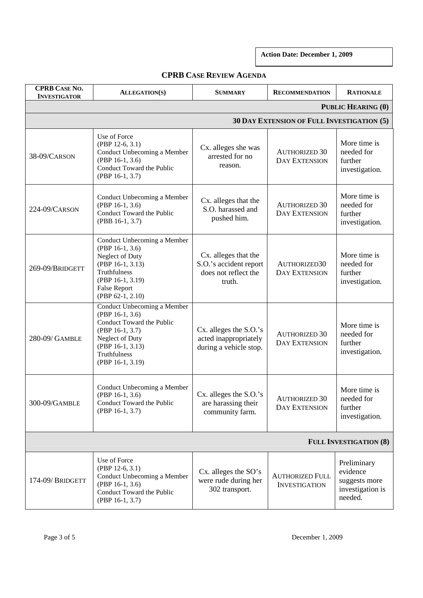**Action Date: December 1, 2009** 

| <b>CPRB CASE NO.</b><br><b>INVESTIGATOR</b> | <b>ALLEGATION(S)</b>                                                                                                                                                        | <b>SUMMARY</b>                                                                   | <b>RECOMMENDATION</b>                          | <b>RATIONALE</b>                                                        |  |  |
|---------------------------------------------|-----------------------------------------------------------------------------------------------------------------------------------------------------------------------------|----------------------------------------------------------------------------------|------------------------------------------------|-------------------------------------------------------------------------|--|--|
| <b>PUBLIC HEARING (0)</b>                   |                                                                                                                                                                             |                                                                                  |                                                |                                                                         |  |  |
| 30 DAY EXTENSION OF FULL INVESTIGATION (5)  |                                                                                                                                                                             |                                                                                  |                                                |                                                                         |  |  |
| 38-09/CARSON                                | Use of Force<br>$(PBP 12-6, 3.1)$<br>Conduct Unbecoming a Member<br>(PBP 16-1, 3.6)<br>Conduct Toward the Public<br>(PBP 16-1, 3.7)                                         | Cx. alleges she was<br>arrested for no<br>reason.                                | <b>AUTHORIZED 30</b><br>DAY EXTENSION          | More time is<br>needed for<br>further<br>investigation.                 |  |  |
| 224-09/CARSON                               | Conduct Unbecoming a Member<br>(PBP 16-1, 3.6)<br>Conduct Toward the Public<br>(PBB 16-1, 3.7)                                                                              | Cx. alleges that the<br>S.O. harassed and<br>pushed him.                         | <b>AUTHORIZED 30</b><br><b>DAY EXTENSION</b>   | More time is<br>needed for<br>further<br>investigation.                 |  |  |
| 269-09/BRIDGETT                             | Conduct Unbecoming a Member<br>(PBP 16-1, 3.6)<br>Neglect of Duty<br>(PBP 16-1, 3.13)<br>Truthfulness<br>(PBP 16-1, 3.19)<br><b>False Report</b><br>(PBP 62-1, 2.10)        | Cx. alleges that the<br>S.O.'s accident report<br>does not reflect the<br>truth. | AUTHORIZED30<br><b>DAY EXTENSION</b>           | More time is<br>needed for<br>further<br>investigation.                 |  |  |
| 280-09/ GAMBLE                              | Conduct Unbecoming a Member<br>(PBP 16-1, 3.6)<br>Conduct Toward the Public<br>$(PBP 16-1, 3.7)$<br>Neglect of Duty<br>(PBP 16-1, 3.13)<br>Truthfulness<br>(PBP 16-1, 3.19) | Cx. alleges the S.O.'s<br>acted inappropriately<br>during a vehicle stop.        | <b>AUTHORIZED 30</b><br><b>DAY EXTENSION</b>   | More time is<br>needed for<br>further<br>investigation.                 |  |  |
| 300-09/GAMBLE                               | Conduct Unbecoming a Member<br>(PBP 16-1, 3.6)<br>Conduct Toward the Public<br>$(PBP 16-1, 3.7)$                                                                            | $Cx.$ alleges the $S.O.'s$<br>are harassing their<br>community farm.             | <b>AUTHORIZED 30</b><br><b>DAY EXTENSION</b>   | More time is<br>needed for<br>further<br>investigation.                 |  |  |
| <b>FULL INVESTIGATION (8)</b>               |                                                                                                                                                                             |                                                                                  |                                                |                                                                         |  |  |
| 174-09/BRIDGETT                             | Use of Force<br>$(PBP 12-6, 3.1)$<br>Conduct Unbecoming a Member<br>$(PBP 16-1, 3.6)$<br>Conduct Toward the Public<br>(PBP 16-1, 3.7)                                       | Cx. alleges the SO's<br>were rude during her<br>302 transport.                   | <b>AUTHORIZED FULL</b><br><b>INVESTIGATION</b> | Preliminary<br>evidence<br>suggests more<br>investigation is<br>needed. |  |  |

## **CPRB CASE REVIEW AGENDA**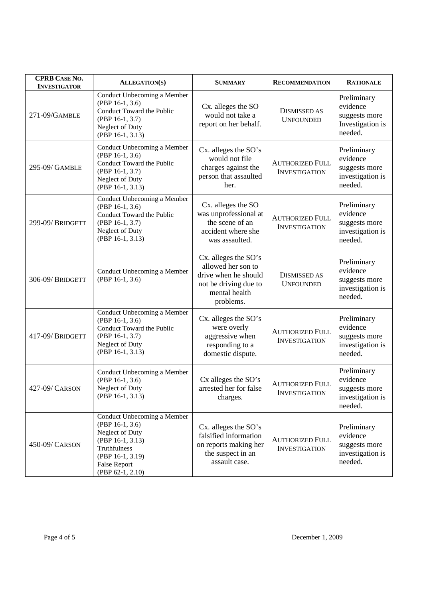| <b>CPRB CASE NO.</b><br><b>INVESTIGATOR</b> | <b>ALLEGATION(S)</b>                                                                                                                                                   | <b>SUMMARY</b>                                                                                                            | <b>RECOMMENDATION</b>                          | <b>RATIONALE</b>                                                        |
|---------------------------------------------|------------------------------------------------------------------------------------------------------------------------------------------------------------------------|---------------------------------------------------------------------------------------------------------------------------|------------------------------------------------|-------------------------------------------------------------------------|
| 271-09/GAMBLE                               | Conduct Unbecoming a Member<br>(PBP 16-1, 3.6)<br>Conduct Toward the Public<br>(PBP 16-1, 3.7)<br>Neglect of Duty<br>(PBP 16-1, 3.13)                                  | Cx. alleges the SO<br>would not take a<br>report on her behalf.                                                           | <b>DISMISSED AS</b><br><b>UNFOUNDED</b>        | Preliminary<br>evidence<br>suggests more<br>Investigation is<br>needed. |
| 295-09/ GAMBLE                              | Conduct Unbecoming a Member<br>(PBP 16-1, 3.6)<br>Conduct Toward the Public<br>(PBP 16-1, 3.7)<br>Neglect of Duty<br>(PBP 16-1, 3.13)                                  | Cx. alleges the SO's<br>would not file<br>charges against the<br>person that assaulted<br>her.                            | <b>AUTHORIZED FULL</b><br><b>INVESTIGATION</b> | Preliminary<br>evidence<br>suggests more<br>investigation is<br>needed. |
| 299-09/BRIDGETT                             | Conduct Unbecoming a Member<br>(PBP 16-1, 3.6)<br>Conduct Toward the Public<br>(PBP 16-1, 3.7)<br>Neglect of Duty<br>(PBP 16-1, 3.13)                                  | Cx. alleges the SO<br>was unprofessional at<br>the scene of an<br>accident where she<br>was assaulted.                    | <b>AUTHORIZED FULL</b><br><b>INVESTIGATION</b> | Preliminary<br>evidence<br>suggests more<br>investigation is<br>needed. |
| 306-09/BRIDGETT                             | Conduct Unbecoming a Member<br>$(PBP 16-1, 3.6)$                                                                                                                       | Cx. alleges the SO's<br>allowed her son to<br>drive when he should<br>not be driving due to<br>mental health<br>problems. | <b>DISMISSED AS</b><br><b>UNFOUNDED</b>        | Preliminary<br>evidence<br>suggests more<br>investigation is<br>needed. |
| 417-09/BRIDGETT                             | Conduct Unbecoming a Member<br>(PBP 16-1, 3.6)<br>Conduct Toward the Public<br>$(PBP 16-1, 3.7)$<br>Neglect of Duty<br>(PBP 16-1, 3.13)                                | Cx. alleges the SO's<br>were overly<br>aggressive when<br>responding to a<br>domestic dispute.                            | <b>AUTHORIZED FULL</b><br><b>INVESTIGATION</b> | Preliminary<br>evidence<br>suggests more<br>investigation is<br>needed. |
| 427-09/ CARSON                              | Conduct Unbecoming a Member<br>(PBP 16-1, 3.6)<br>Neglect of Duty<br>(PBP 16-1, 3.13)                                                                                  | Cx alleges the SO's<br>arrested her for false<br>charges.                                                                 | <b>AUTHORIZED FULL</b><br><b>INVESTIGATION</b> | Preliminary<br>evidence<br>suggests more<br>investigation is<br>needed. |
| 450-09/ CARSON                              | Conduct Unbecoming a Member<br>$(PBP 16-1, 3.6)$<br>Neglect of Duty<br>(PBP 16-1, 3.13)<br>Truthfulness<br>(PBP 16-1, 3.19)<br><b>False Report</b><br>(PBP 62-1, 2.10) | Cx. alleges the SO's<br>falsified information<br>on reports making her<br>the suspect in an<br>assault case.              | <b>AUTHORIZED FULL</b><br><b>INVESTIGATION</b> | Preliminary<br>evidence<br>suggests more<br>investigation is<br>needed. |